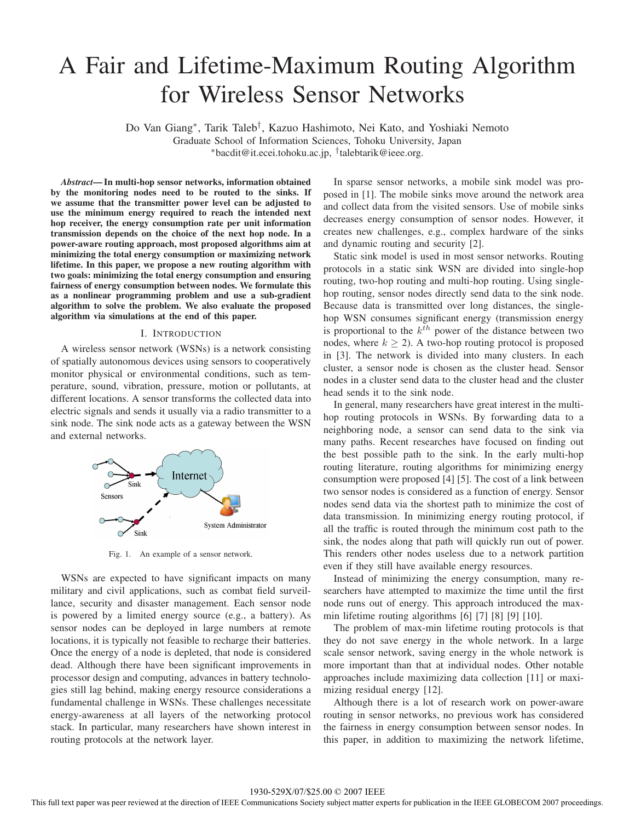# A Fair and Lifetime-Maximum Routing Algorithm for Wireless Sensor Networks

Do Van Giang∗, Tarik Taleb†, Kazuo Hashimoto, Nei Kato, and Yoshiaki Nemoto

Graduate School of Information Sciences, Tohoku University, Japan

∗bacdit@it.ecei.tohoku.ac.jp, †talebtarik@ieee.org.

*Abstract***— In multi-hop sensor networks, information obtained by the monitoring nodes need to be routed to the sinks. If we assume that the transmitter power level can be adjusted to use the minimum energy required to reach the intended next hop receiver, the energy consumption rate per unit information transmission depends on the choice of the next hop node. In a power-aware routing approach, most proposed algorithms aim at minimizing the total energy consumption or maximizing network lifetime. In this paper, we propose a new routing algorithm with two goals: minimizing the total energy consumption and ensuring fairness of energy consumption between nodes. We formulate this as a nonlinear programming problem and use a sub-gradient algorithm to solve the problem. We also evaluate the proposed algorithm via simulations at the end of this paper.**

## I. INTRODUCTION

A wireless sensor network (WSNs) is a network consisting of spatially autonomous devices using sensors to cooperatively monitor physical or environmental conditions, such as temperature, sound, vibration, pressure, motion or pollutants, at different locations. A sensor transforms the collected data into electric signals and sends it usually via a radio transmitter to a sink node. The sink node acts as a gateway between the WSN and external networks.



Fig. 1. An example of a sensor network.

WSNs are expected to have significant impacts on many military and civil applications, such as combat field surveillance, security and disaster management. Each sensor node is powered by a limited energy source (e.g., a battery). As sensor nodes can be deployed in large numbers at remote locations, it is typically not feasible to recharge their batteries. Once the energy of a node is depleted, that node is considered dead. Although there have been significant improvements in processor design and computing, advances in battery technologies still lag behind, making energy resource considerations a fundamental challenge in WSNs. These challenges necessitate energy-awareness at all layers of the networking protocol stack. In particular, many researchers have shown interest in routing protocols at the network layer.

In sparse sensor networks, a mobile sink model was proposed in [1]. The mobile sinks move around the network area and collect data from the visited sensors. Use of mobile sinks decreases energy consumption of sensor nodes. However, it creates new challenges, e.g., complex hardware of the sinks and dynamic routing and security [2].

Static sink model is used in most sensor networks. Routing protocols in a static sink WSN are divided into single-hop routing, two-hop routing and multi-hop routing. Using singlehop routing, sensor nodes directly send data to the sink node. Because data is transmitted over long distances, the singlehop WSN consumes significant energy (transmission energy is proportional to the  $k^{th}$  power of the distance between two nodes, where  $k \geq 2$ ). A two-hop routing protocol is proposed in [3]. The network is divided into many clusters. In each cluster, a sensor node is chosen as the cluster head. Sensor nodes in a cluster send data to the cluster head and the cluster head sends it to the sink node.

In general, many researchers have great interest in the multihop routing protocols in WSNs. By forwarding data to a neighboring node, a sensor can send data to the sink via many paths. Recent researches have focused on finding out the best possible path to the sink. In the early multi-hop routing literature, routing algorithms for minimizing energy consumption were proposed [4] [5]. The cost of a link between two sensor nodes is considered as a function of energy. Sensor nodes send data via the shortest path to minimize the cost of data transmission. In minimizing energy routing protocol, if all the traffic is routed through the minimum cost path to the sink, the nodes along that path will quickly run out of power. This renders other nodes useless due to a network partition even if they still have available energy resources.

Instead of minimizing the energy consumption, many researchers have attempted to maximize the time until the first node runs out of energy. This approach introduced the maxmin lifetime routing algorithms [6] [7] [8] [9] [10].

The problem of max-min lifetime routing protocols is that they do not save energy in the whole network. In a large scale sensor network, saving energy in the whole network is more important than that at individual nodes. Other notable approaches include maximizing data collection [11] or maximizing residual energy [12].

Although there is a lot of research work on power-aware routing in sensor networks, no previous work has considered the fairness in energy consumption between sensor nodes. In this paper, in addition to maximizing the network lifetime,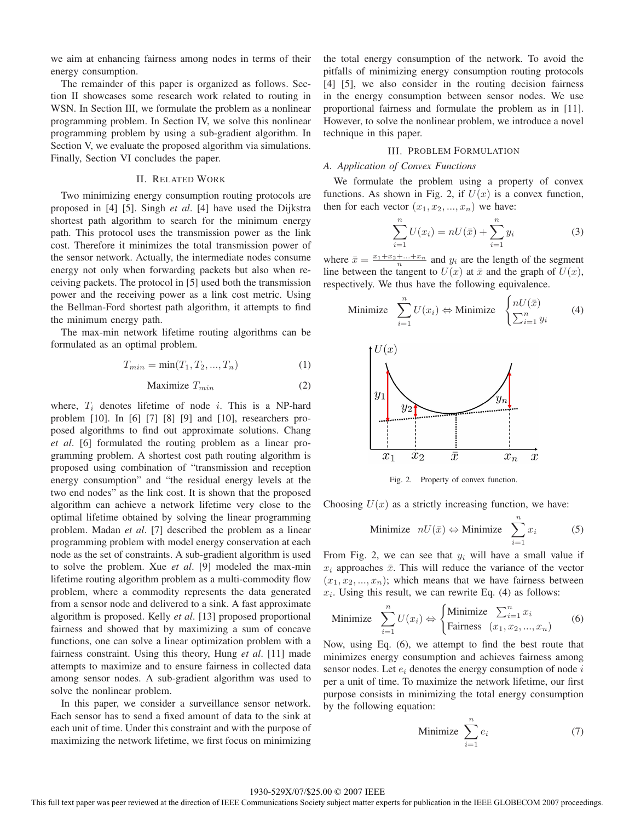we aim at enhancing fairness among nodes in terms of their energy consumption.

The remainder of this paper is organized as follows. Section II showcases some research work related to routing in WSN. In Section III, we formulate the problem as a nonlinear programming problem. In Section IV, we solve this nonlinear programming problem by using a sub-gradient algorithm. In Section V, we evaluate the proposed algorithm via simulations. Finally, Section VI concludes the paper.

## II. RELATED WORK

Two minimizing energy consumption routing protocols are proposed in [4] [5]. Singh *et al*. [4] have used the Dijkstra shortest path algorithm to search for the minimum energy path. This protocol uses the transmission power as the link cost. Therefore it minimizes the total transmission power of the sensor network. Actually, the intermediate nodes consume energy not only when forwarding packets but also when receiving packets. The protocol in [5] used both the transmission power and the receiving power as a link cost metric. Using the Bellman-Ford shortest path algorithm, it attempts to find the minimum energy path.

The max-min network lifetime routing algorithms can be formulated as an optimal problem.

$$
T_{min} = \min(T_1, T_2, ..., T_n)
$$
 (1)

$$
\text{Maximize } T_{min} \tag{2}
$$

where,  $T_i$  denotes lifetime of node i. This is a NP-hard problem [10]. In [6] [7] [8] [9] and [10], researchers proposed algorithms to find out approximate solutions. Chang *et al*. [6] formulated the routing problem as a linear programming problem. A shortest cost path routing algorithm is proposed using combination of "transmission and reception energy consumption" and "the residual energy levels at the two end nodes" as the link cost. It is shown that the proposed algorithm can achieve a network lifetime very close to the optimal lifetime obtained by solving the linear programming problem. Madan *et al*. [7] described the problem as a linear programming problem with model energy conservation at each node as the set of constraints. A sub-gradient algorithm is used to solve the problem. Xue *et al*. [9] modeled the max-min lifetime routing algorithm problem as a multi-commodity flow problem, where a commodity represents the data generated from a sensor node and delivered to a sink. A fast approximate algorithm is proposed. Kelly *et al*. [13] proposed proportional fairness and showed that by maximizing a sum of concave functions, one can solve a linear optimization problem with a fairness constraint. Using this theory, Hung *et al*. [11] made attempts to maximize and to ensure fairness in collected data among sensor nodes. A sub-gradient algorithm was used to solve the nonlinear problem.

In this paper, we consider a surveillance sensor network. Each sensor has to send a fixed amount of data to the sink at each unit of time. Under this constraint and with the purpose of maximizing the network lifetime, we first focus on minimizing

the total energy consumption of the network. To avoid the pitfalls of minimizing energy consumption routing protocols [4] [5], we also consider in the routing decision fairness in the energy consumption between sensor nodes. We use proportional fairness and formulate the problem as in [11]. However, to solve the nonlinear problem, we introduce a novel technique in this paper.

# III. PROBLEM FORMULATION

## *A. Application of Convex Functions*

We formulate the problem using a property of convex functions. As shown in Fig. 2, if  $U(x)$  is a convex function, then for each vector  $(x_1, x_2, ..., x_n)$  we have:

$$
\sum_{i=1}^{n} U(x_i) = nU(\bar{x}) + \sum_{i=1}^{n} y_i
$$
 (3)

where  $\bar{x} = \frac{x_1 + x_2 + \dots + x_n}{n}$  and  $y_i$  are the length of the segment line between the tangent to  $U(x)$  at  $\bar{x}$  and the graph of  $U(x)$ , respectively. We thus have the following equivalence.

Minimize 
$$
\sum_{i=1}^{n} U(x_i) \Leftrightarrow \text{Minimize } \begin{cases} nU(\bar{x}) \\ \sum_{i=1}^{n} y_i \end{cases}
$$
 (4)



Fig. 2. Property of convex function.

Choosing  $U(x)$  as a strictly increasing function, we have:

Minimize 
$$
nU(\bar{x}) \Leftrightarrow \text{Minimize} \sum_{i=1}^{n} x_i
$$
 (5)

From Fig. 2, we can see that  $y_i$  will have a small value if  $x_i$  approaches  $\bar{x}$ . This will reduce the variance of the vector  $(x_1, x_2, ..., x_n)$ ; which means that we have fairness between  $x_i$ . Using this result, we can rewrite Eq. (4) as follows:

Minimize 
$$
\sum_{i=1}^{n} U(x_i) \Leftrightarrow \begin{cases} \text{Minimize } \sum_{i=1}^{n} x_i \\ \text{Fairness } (x_1, x_2, ..., x_n) \end{cases}
$$
 (6)

Now, using Eq. (6), we attempt to find the best route that minimizes energy consumption and achieves fairness among sensor nodes. Let  $e_i$  denotes the energy consumption of node i per a unit of time. To maximize the network lifetime, our first purpose consists in minimizing the total energy consumption by the following equation:

$$
\text{Minimize } \sum_{i=1}^{n} e_i \tag{7}
$$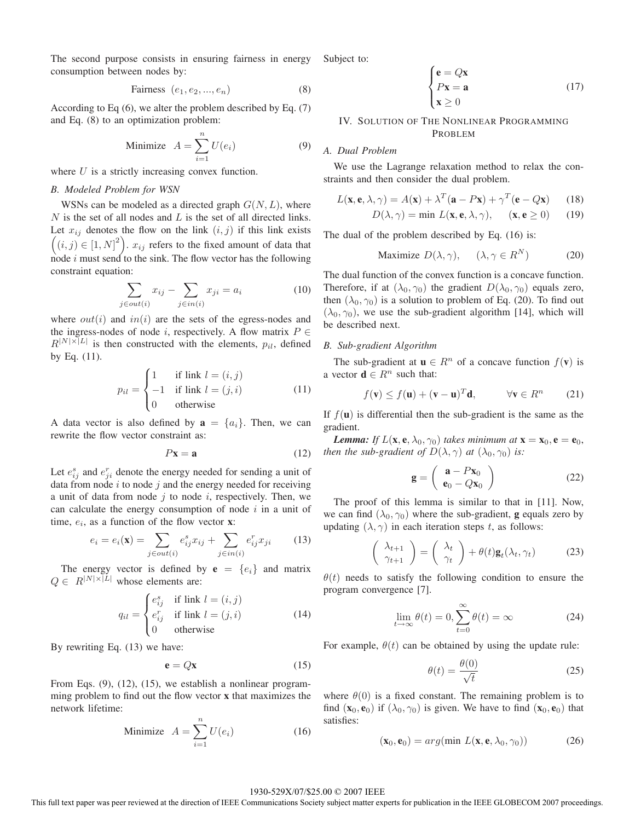The second purpose consists in ensuring fairness in energy consumption between nodes by:

$$
\text{Fairness } (e_1, e_2, \dots, e_n) \tag{8}
$$

According to Eq (6), we alter the problem described by Eq. (7) and Eq. (8) to an optimization problem:

Minimize 
$$
A = \sum_{i=1}^{n} U(e_i)
$$
 (9)

where  $U$  is a strictly increasing convex function.

# *B. Modeled Problem for WSN*

WSNs can be modeled as a directed graph  $G(N, L)$ , where  $N$  is the set of all nodes and  $L$  is the set of all directed links. Let  $x_{ij}$  denotes the flow on the link  $(i, j)$  if this link exists  $((i, j) \in [1, N]^2)$ .  $x_{ij}$  refers to the fixed amount of data that node i must send to the sink. The flow vector has the following constraint equation:

$$
\sum_{j \in out(i)} x_{ij} - \sum_{j \in in(i)} x_{ji} = a_i \tag{10}
$$

where  $out(i)$  and  $in(i)$  are the sets of the egress-nodes and the ingress-nodes of node i, respectively. A flow matrix  $P \in$  $R^{|N| \times |L|}$  is then constructed with the elements,  $p_{il}$ , defined by Eq. (11).

$$
p_{il} = \begin{cases} 1 & \text{if link } l = (i, j) \\ -1 & \text{if link } l = (j, i) \\ 0 & \text{otherwise} \end{cases}
$$
(11)

A data vector is also defined by  $\mathbf{a} = \{a_i\}$ . Then, we can rewrite the flow vector constraint as:

$$
P\mathbf{x} = \mathbf{a} \tag{12}
$$

Let  $e_{ij}^s$  and  $e_{ji}^r$  denote the energy needed for sending a unit of data from node  $i$  to node  $j$  and the energy needed for receiving a unit of data from node  $j$  to node  $i$ , respectively. Then, we can calculate the energy consumption of node  $i$  in a unit of time,  $e_i$ , as a function of the flow vector **x**:

$$
e_i = e_i(\mathbf{x}) = \sum_{j \in out(i)} e_{ij}^s x_{ij} + \sum_{j \in in(i)} e_{ij}^r x_{ji}
$$
 (13)

The energy vector is defined by  $\mathbf{e} = \{e_i\}$  and matrix  $Q \in R^{|N| \times |\tilde{L}|}$  whose elements are:

$$
q_{il} = \begin{cases} e_{ij}^s & \text{if link } l = (i, j) \\ e_{ij}^r & \text{if link } l = (j, i) \\ 0 & \text{otherwise} \end{cases}
$$
 (14)

By rewriting Eq. (13) we have:

$$
\mathbf{e} = Q\mathbf{x} \tag{15}
$$

From Eqs. (9), (12), (15), we establish a nonlinear programming problem to find out the flow vector **x** that maximizes the network lifetime:

$$
\text{Minimize} \quad A = \sum_{i=1}^{n} U(e_i) \tag{16}
$$

Subject to:

$$
\begin{cases}\n\mathbf{e} = Q\mathbf{x} \\
P\mathbf{x} = \mathbf{a} \\
\mathbf{x} \ge 0\n\end{cases}
$$
\n(17)

# IV. SOLUTION OF THE NONLINEAR PROGRAMMING PROBLEM

# *A. Dual Problem*

We use the Lagrange relaxation method to relax the constraints and then consider the dual problem.

$$
L(\mathbf{x}, \mathbf{e}, \lambda, \gamma) = A(\mathbf{x}) + \lambda^T (\mathbf{a} - P\mathbf{x}) + \gamma^T (\mathbf{e} - Q\mathbf{x}) \tag{18}
$$

$$
D(\lambda, \gamma) = \min L(\mathbf{x}, \mathbf{e}, \lambda, \gamma), \quad (\mathbf{x}, \mathbf{e} \ge 0) \quad (19)
$$

The dual of the problem described by Eq. (16) is:

$$
\text{Maximize } D(\lambda, \gamma), \quad (\lambda, \gamma \in R^N) \tag{20}
$$

The dual function of the convex function is a concave function. Therefore, if at  $(\lambda_0, \gamma_0)$  the gradient  $D(\lambda_0, \gamma_0)$  equals zero, then  $(\lambda_0, \gamma_0)$  is a solution to problem of Eq. (20). To find out  $(\lambda_0, \gamma_0)$ , we use the sub-gradient algorithm [14], which will be described next.

# *B. Sub-gradient Algorithm*

The sub-gradient at  $\mathbf{u} \in R^n$  of a concave function  $f(\mathbf{v})$  is a vector  $\mathbf{d} \in R^n$  such that:

$$
f(\mathbf{v}) \le f(\mathbf{u}) + (\mathbf{v} - \mathbf{u})^T \mathbf{d}, \qquad \forall \mathbf{v} \in R^n \qquad (21)
$$

If  $f(\mathbf{u})$  is differential then the sub-gradient is the same as the gradient.

*Lemma: If*  $L(\mathbf{x}, \mathbf{e}, \lambda_0, \gamma_0)$  *takes minimum at*  $\mathbf{x} = \mathbf{x}_0, \mathbf{e} = \mathbf{e}_0$ , *then the sub-gradient of*  $D(\lambda, \gamma)$  *at*  $(\lambda_0, \gamma_0)$  *is:* 

$$
\mathbf{g} = \left(\begin{array}{c} \mathbf{a} - P\mathbf{x}_0\\ \mathbf{e}_0 - Q\mathbf{x}_0 \end{array}\right) \tag{22}
$$

The proof of this lemma is similar to that in [11]. Now, we can find  $(\lambda_0, \gamma_0)$  where the sub-gradient, **g** equals zero by updating  $(\lambda, \gamma)$  in each iteration steps t, as follows:

$$
\begin{pmatrix} \lambda_{t+1} \\ \gamma_{t+1} \end{pmatrix} = \begin{pmatrix} \lambda_t \\ \gamma_t \end{pmatrix} + \theta(t)\mathbf{g}_t(\lambda_t, \gamma_t) \tag{23}
$$

 $\theta(t)$  needs to satisfy the following condition to ensure the program convergence [7].

$$
\lim_{t \to \infty} \theta(t) = 0, \sum_{t=0}^{\infty} \theta(t) = \infty
$$
\n(24)

For example,  $\theta(t)$  can be obtained by using the update rule:

$$
\theta(t) = \frac{\theta(0)}{\sqrt{t}}\tag{25}
$$

where  $\theta(0)$  is a fixed constant. The remaining problem is to find  $(\mathbf{x}_0, \mathbf{e}_0)$  if  $(\lambda_0, \gamma_0)$  is given. We have to find  $(\mathbf{x}_0, \mathbf{e}_0)$  that satisfies:

$$
(\mathbf{x}_0, \mathbf{e}_0) = arg(min L(\mathbf{x}, \mathbf{e}, \lambda_0, \gamma_0))
$$
 (26)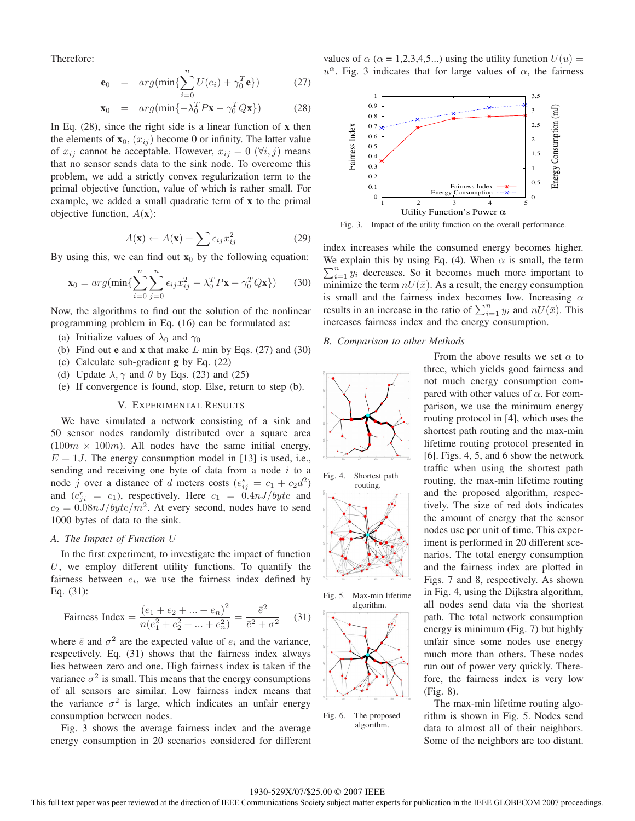Therefore:

$$
\mathbf{e}_0 = arg(min\{\sum_{i=0}^{n} U(e_i) + \gamma_0^T \mathbf{e}\})
$$
 (27)

$$
\mathbf{x}_0 = arg(\min\{-\lambda_0^T P \mathbf{x} - \gamma_0^T Q \mathbf{x}\})
$$
 (28)

In Eq. (28), since the right side is a linear function of **x** then the elements of  $\mathbf{x}_0$ ,  $(x_{ij})$  become 0 or infinity. The latter value of  $x_{ij}$  cannot be acceptable. However,  $x_{ij} = 0$  ( $\forall i, j$ ) means that no sensor sends data to the sink node. To overcome this problem, we add a strictly convex regularization term to the primal objective function, value of which is rather small. For example, we added a small quadratic term of **x** to the primal objective function, A(**x**):

$$
A(\mathbf{x}) \leftarrow A(\mathbf{x}) + \sum \epsilon_{ij} x_{ij}^2 \tag{29}
$$

By using this, we can find out  $\mathbf{x}_0$  by the following equation:

$$
\mathbf{x}_0 = arg(\min\{\sum_{i=0}^n \sum_{j=0}^n \epsilon_{ij} x_{ij}^2 - \lambda_0^T P \mathbf{x} - \gamma_0^T Q \mathbf{x}\})
$$
 (30)

Now, the algorithms to find out the solution of the nonlinear programming problem in Eq. (16) can be formulated as:

- (a) Initialize values of  $\lambda_0$  and  $\gamma_0$
- (b) Find out **e** and **x** that make L min by Eqs. (27) and (30)
- (c) Calculate sub-gradient **g** by Eq. (22)
- (d) Update  $\lambda$ ,  $\gamma$  and  $\theta$  by Eqs. (23) and (25)
- (e) If convergence is found, stop. Else, return to step (b).

# V. EXPERIMENTAL RESULTS

We have simulated a network consisting of a sink and 50 sensor nodes randomly distributed over a square area  $(100m \times 100m)$ . All nodes have the same initial energy,  $E = 1J$ . The energy consumption model in [13] is used, i.e., sending and receiving one byte of data from a node  $i$  to a node j over a distance of d meters costs  $(e_{ij}^s = c_1 + c_2 d^2)$ and  $(e_{ji}^r = c_1)$ , respectively. Here  $c_1 = 0.4 \pi J/byte$  and  $c_2 = 0.08nJ/byte/m^2$ . At every second, nodes have to send 1000 bytes of data to the sink.

# *A. The Impact of Function* U

In the first experiment, to investigate the impact of function U, we employ different utility functions. To quantify the fairness between  $e_i$ , we use the fairness index defined by Eq. (31):

$$
\text{Fairness Index} = \frac{(e_1 + e_2 + \dots + e_n)^2}{n(e_1^2 + e_2^2 + \dots + e_n^2)} = \frac{\bar{e}^2}{\bar{e}^2 + \sigma^2} \tag{31}
$$

where  $\bar{e}$  and  $\sigma^2$  are the expected value of  $e_i$  and the variance, respectively. Eq. (31) shows that the fairness index always lies between zero and one. High fairness index is taken if the variance  $\sigma^2$  is small. This means that the energy consumptions of all sensors are similar. Low fairness index means that the variance  $\sigma^2$  is large, which indicates an unfair energy consumption between nodes.

Fig. 3 shows the average fairness index and the average energy consumption in 20 scenarios considered for different values of  $\alpha$  ( $\alpha$  = 1,2,3,4,5...) using the utility function  $U(u)$  =  $u^{\alpha}$ . Fig. 3 indicates that for large values of  $\alpha$ , the fairness



Fig. 3. Impact of the utility function on the overall performance.

index increases while the consumed energy becomes higher. We explain this by using Eq. (4). When  $\alpha$  is small, the term  $\sum_{n=1}^{\infty}$  decreases. So it becomes much more important to  $\sum_{i=1}^{n} y_i$  decreases. So it becomes much more important to minimize the term  $nU(\bar{x})$ . As a result, the energy consumption is small and the fairness index becomes low. Increasing  $\alpha$ results in an increase in the ratio of  $\sum_{i=1}^{n} y_i$  and  $nU(\bar{x})$ . This increases fairness index and the energy consumption.

## *B. Comparison to other Methods*



Fig. 4. Shortest path routing.





Fig. 6. The proposed algorithm.

routing, the max-min lifetime routing and the proposed algorithm, respectively. The size of red dots indicates the amount of energy that the sensor nodes use per unit of time. This experiment is performed in 20 different scenarios. The total energy consumption and the fairness index are plotted in Figs. 7 and 8, respectively. As shown in Fig. 4, using the Dijkstra algorithm, all nodes send data via the shortest path. The total network consumption energy is minimum (Fig. 7) but highly unfair since some nodes use energy much more than others. These nodes run out of power very quickly. Therefore, the fairness index is very low (Fig. 8).

From the above results we set  $\alpha$  to three, which yields good fairness and not much energy consumption compared with other values of  $\alpha$ . For comparison, we use the minimum energy routing protocol in [4], which uses the shortest path routing and the max-min lifetime routing protocol presented in [6]. Figs. 4, 5, and 6 show the network traffic when using the shortest path

The max-min lifetime routing algorithm is shown in Fig. 5. Nodes send data to almost all of their neighbors. Some of the neighbors are too distant.